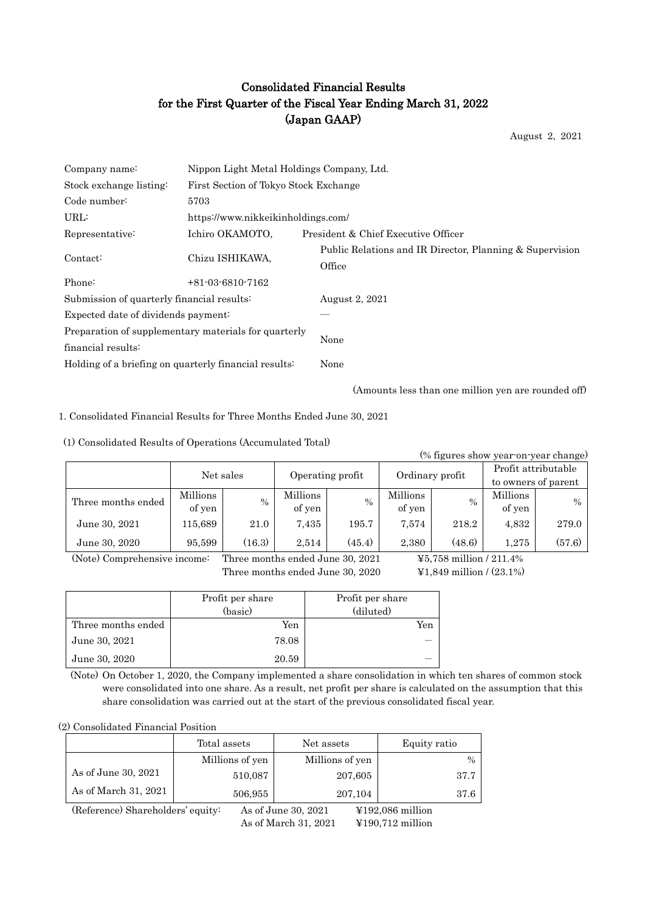# Consolidated Financial Results for the First Quarter of the Fiscal Year Ending March 31, 2022 (Japan GAAP)

August 2, 2021

| Company name:                                         | Nippon Light Metal Holdings Company, Ltd. |                                                                    |  |  |  |
|-------------------------------------------------------|-------------------------------------------|--------------------------------------------------------------------|--|--|--|
| Stock exchange listing:                               |                                           | First Section of Tokyo Stock Exchange                              |  |  |  |
| Code number:                                          | 5703                                      |                                                                    |  |  |  |
| URL:                                                  | https://www.nikkeikinholdings.com/        |                                                                    |  |  |  |
| Representative:                                       | Ichiro OKAMOTO,                           | President & Chief Executive Officer                                |  |  |  |
| Contact:                                              | Chizu ISHIKAWA,                           | Public Relations and IR Director, Planning & Supervision<br>Office |  |  |  |
| Phone:                                                | $+81-03-6810-7162$                        |                                                                    |  |  |  |
| Submission of quarterly financial results:            |                                           | August 2, 2021                                                     |  |  |  |
| Expected date of dividends payment:                   |                                           |                                                                    |  |  |  |
| Preparation of supplementary materials for quarterly  |                                           | None                                                               |  |  |  |
| financial results:                                    |                                           |                                                                    |  |  |  |
| Holding of a briefing on quarterly financial results: |                                           | None                                                               |  |  |  |

(Amounts less than one million yen are rounded off)

1. Consolidated Financial Results for Three Months Ended June 30, 2021

(1) Consolidated Results of Operations (Accumulated Total)

| (% figures show year-on-year change) |           |        |                  |               |                 |        |                     |               |
|--------------------------------------|-----------|--------|------------------|---------------|-----------------|--------|---------------------|---------------|
|                                      | Net sales |        | Operating profit |               |                 |        | Profit attributable |               |
|                                      |           |        |                  |               | Ordinary profit |        | to owners of parent |               |
| Three months ended                   | Millions  | $\%$   | Millions         | $\frac{0}{0}$ | Millions        | $\%$   | Millions            | $\frac{0}{0}$ |
|                                      | of yen    |        | of yen           |               | of yen          |        | of yen              |               |
| June 30, 2021                        | 115,689   | 21.0   | 7,435            | 195.7         | 7,574           | 218.2  | 4,832               | 279.0         |
| June 30, 2020                        | 95,599    | (16.3) | 2,514            | (45.4)        | 2,380           | (48.6) | 1,275               | (57.6)        |

(Note) Comprehensive income: Three months ended June 30, 2021 ¥5,758 million / 211.4%

Three months ended June 30, 2020  $\qquad\qquad$  ¥1,849 million / (23.1%)

|                    | Profit per share<br>(basic) | Profit per share<br>(diluted) |
|--------------------|-----------------------------|-------------------------------|
| Three months ended | Yen                         | Yen                           |
| June 30, 2021      | 78.08                       |                               |
| June 30, 2020      | 20.59                       |                               |

(Note) On October 1, 2020, the Company implemented a share consolidation in which ten shares of common stock were consolidated into one share. As a result, net profit per share is calculated on the assumption that this share consolidation was carried out at the start of the previous consolidated fiscal year.

#### (2) Consolidated Financial Position

|                                                                                                   | Total assets    | Net assets      | Equity ratio  |  |
|---------------------------------------------------------------------------------------------------|-----------------|-----------------|---------------|--|
|                                                                                                   | Millions of yen | Millions of yen | $\frac{0}{0}$ |  |
| As of June 30, 2021                                                                               | 510,087         | 207,605         | 37.7          |  |
| As of March 31, 2021                                                                              | 506,955         | 207,104         | 37.6          |  |
| (Reference) Shareholders' equity:<br>As of June 30, 2021<br>$\text{\textsterling}192,086$ million |                 |                 |               |  |

As of March 31, 2021 ¥190,712 million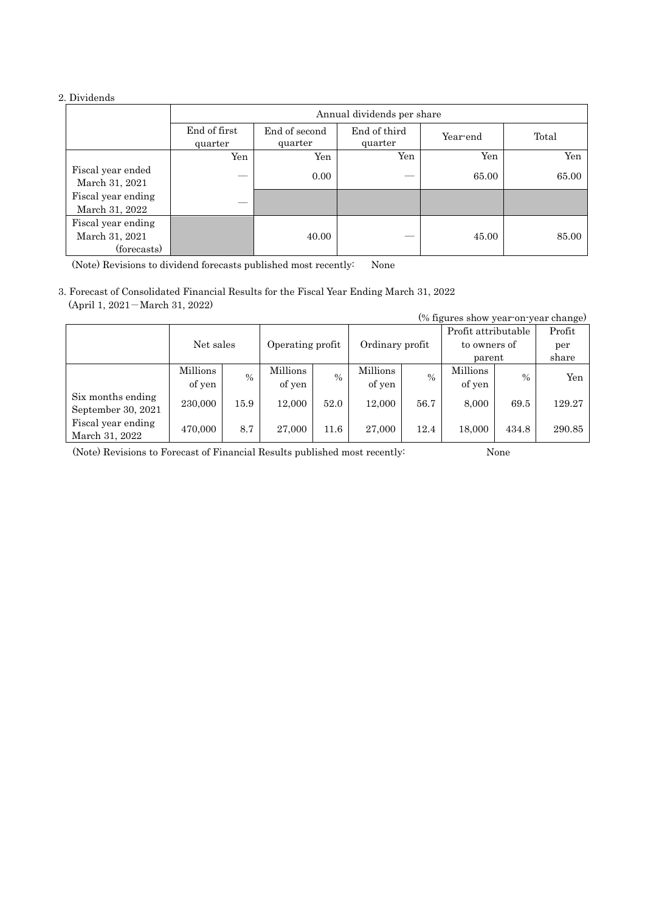# 2. Dividends

|                                                     | Annual dividends per share |                          |                         |          |       |  |
|-----------------------------------------------------|----------------------------|--------------------------|-------------------------|----------|-------|--|
|                                                     | End of first<br>quarter    | End of second<br>quarter | End of third<br>quarter | Year-end | Total |  |
|                                                     | Yen                        | Yen                      | Yen                     | Yen      | Yen   |  |
| Fiscal year ended<br>March 31, 2021                 |                            | 0.00                     |                         | 65.00    | 65.00 |  |
| Fiscal year ending<br>March 31, 2022                |                            |                          |                         |          |       |  |
| Fiscal year ending<br>March 31, 2021<br>(forecasts) |                            | 40.00                    |                         | 45.00    | 85.00 |  |

(Note) Revisions to dividend forecasts published most recently: None

3. Forecast of Consolidated Financial Results for the Fiscal Year Ending March 31, 2022 (April 1, 2021-March 31, 2022)

| (% figures show year-on-year change) |           |               |                  |      |                 |      |                     |       |        |
|--------------------------------------|-----------|---------------|------------------|------|-----------------|------|---------------------|-------|--------|
|                                      |           |               |                  |      |                 |      | Profit attributable |       | Profit |
|                                      | Net sales |               | Operating profit |      | Ordinary profit |      | to owners of        |       | per    |
|                                      |           |               |                  |      |                 |      | parent              |       | share  |
|                                      | Millions  | $\frac{0}{0}$ | Millions         | $\%$ | Millions        | $\%$ | Millions            | $\%$  | Yen    |
|                                      | of yen    |               | of yen           |      | of yen          |      | of yen              |       |        |
| Six months ending                    | 230,000   | 15.9          | 12.000           | 52.0 | 12.000          | 56.7 | 8.000               | 69.5  | 129.27 |
| September 30, 2021                   |           |               |                  |      |                 |      |                     |       |        |
| Fiscal year ending                   | 470,000   | 8.7           | 27,000           | 11.6 | 27,000          | 12.4 | 18,000              | 434.8 | 290.85 |
| March 31, 2022                       |           |               |                  |      |                 |      |                     |       |        |

(Note) Revisions to Forecast of Financial Results published most recently: None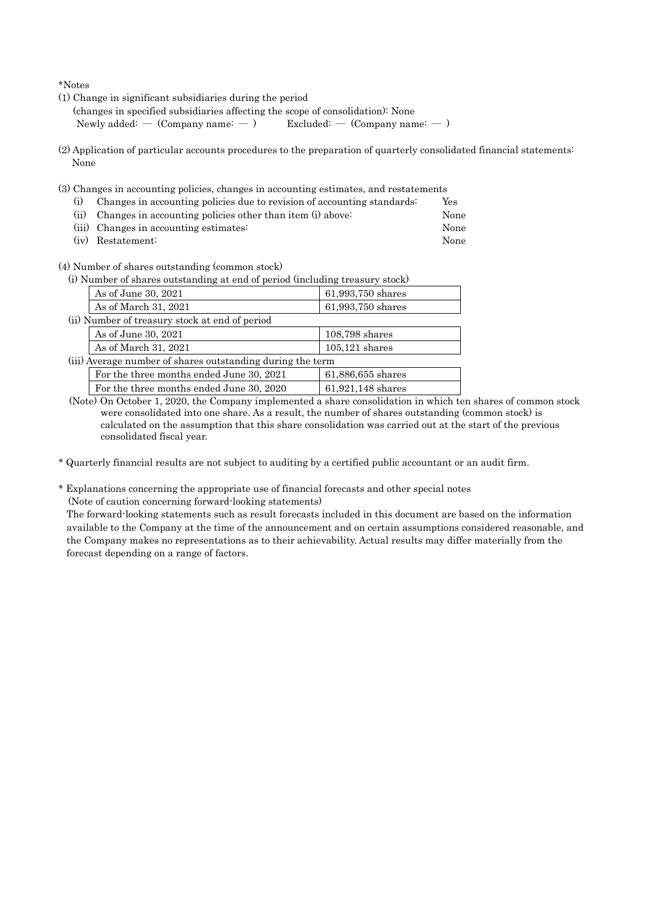\*Notes

(1) Change in significant subsidiaries during the period

(changes in specified subsidiaries affecting the scope of consolidation): None

Newly added: —  $(Comparing name: -)$  Excluded: —  $(Comparing name: -)$ 

- (2) Application of particular accounts procedures to the preparation of quarterly consolidated financial statements: None
- (3) Changes in accounting policies, changes in accounting estimates, and restatements
	- (i) Changes in accounting policies due to revision of accounting standards: Yes (ii) Changes in accounting policies other than item (i) above: None
	- (iii) Changes in accounting estimates: None
	- (iv) Restatement: None

(4) Number of shares outstanding (common stock)

| (i) Number of shares outstanding at end of period (including treasury stock) |                                          |                   |  |  |
|------------------------------------------------------------------------------|------------------------------------------|-------------------|--|--|
|                                                                              | As of June 30, 2021                      | 61,993,750 shares |  |  |
|                                                                              | As of March 31, 2021                     | 61,993,750 shares |  |  |
| (ii) Number of treasury stock at end of period                               |                                          |                   |  |  |
|                                                                              | As of June 30, 2021                      | $108,798$ shares  |  |  |
|                                                                              | As of March 31, 2021                     | $105,121$ shares  |  |  |
| (iii) Average number of shares outstanding during the term                   |                                          |                   |  |  |
|                                                                              | For the three months ended June 30, 2021 | 61,886,655 shares |  |  |
|                                                                              | For the three months ended June 30, 2020 | 61,921,148 shares |  |  |

(Note) On October 1, 2020, the Company implemented a share consolidation in which ten shares of common stock were consolidated into one share. As a result, the number of shares outstanding (common stock) is calculated on the assumption that this share consolidation was carried out at the start of the previous consolidated fiscal year.

\* Quarterly financial results are not subject to auditing by a certified public accountant or an audit firm.

\* Explanations concerning the appropriate use of financial forecasts and other special notes (Note of caution concerning forward-looking statements)

The forward-looking statements such as result forecasts included in this document are based on the information available to the Company at the time of the announcement and on certain assumptions considered reasonable, and the Company makes no representations as to their achievability. Actual results may differ materially from the forecast depending on a range of factors.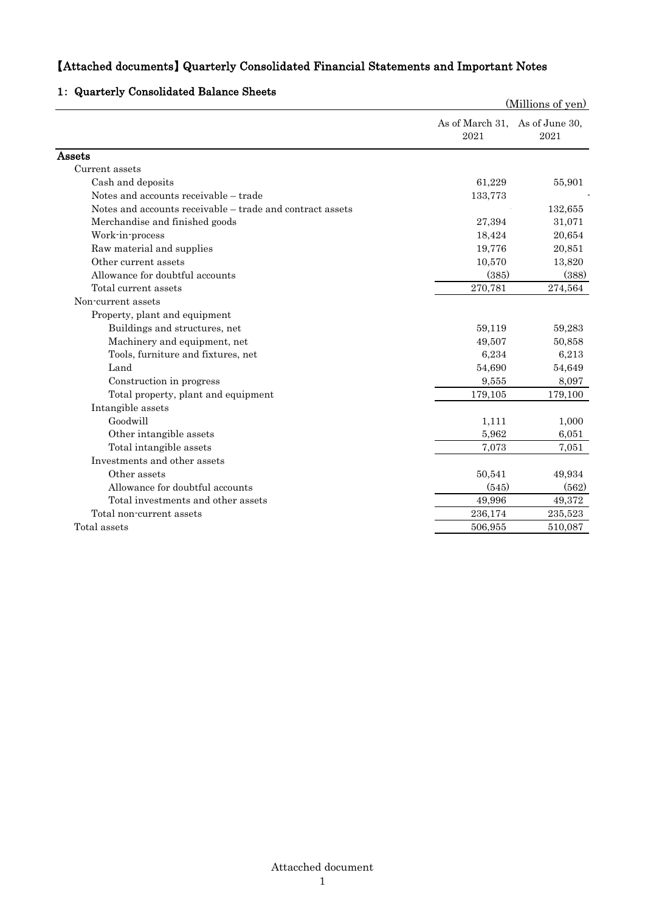# 【Attached documents】 Quarterly Consolidated Financial Statements and Important Notes

# (Millions of yen) As of March 31, As of June 30, 2021 2021 Assets Current assets Cash and deposits 61,229 55,901 Notes and accounts receivable – trade 133,773 Notes and accounts receivable – trade and contract assets  $132,655$ Merchandise and finished goods 27,394 31,071 Work-in-process 20,654 Raw material and supplies 19,776 20,851 Other current assets 10,570 13,820 Allowance for doubtful accounts (385) (388) Total current assets 270,781 274,564 Non-current assets Property, plant and equipment Buildings and structures, net 59,283 Machinery and equipment, net  $49,507$  50,858 Tools, furniture and fixtures, net 6,234 6,213  $\mu$   $54,690$   $54,649$ Construction in progress 8,097 Total property, plant and equipment 179,105 179,100 Intangible assets Goodwill 1,111 1,000 Other intangible assets 6,051 Total intangible assets 7,051 7,051 7,051 7,051 Investments and other assets Other assets 50,541 49,934 Allowance for doubtful accounts (545) (562) Total investments and other assets 49,996 49,372 Total non-current assets 236,174 235,523  $\frac{}{\text{Total assets}}$  506,955  $\frac{}{\text{506,955}}$  510,087

#### 1: Quarterly Consolidated Balance Sheets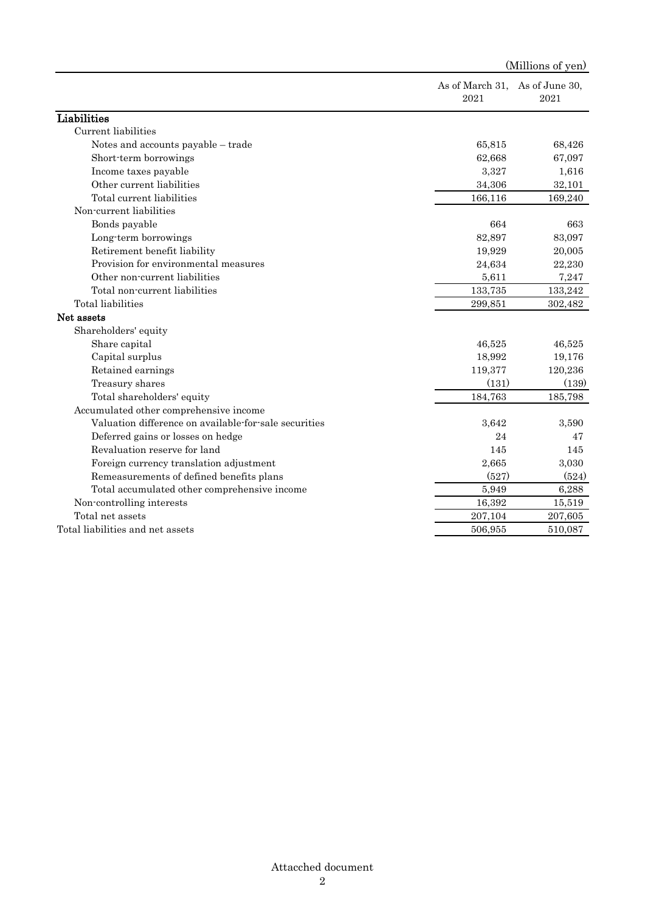|                                                       |                                        | (Millions of yen) |
|-------------------------------------------------------|----------------------------------------|-------------------|
|                                                       | As of March 31, As of June 30,<br>2021 | 2021              |
| Liabilities                                           |                                        |                   |
| Current liabilities                                   |                                        |                   |
| Notes and accounts payable – trade                    | 65,815                                 | 68,426            |
| Short-term borrowings                                 | 62,668                                 | 67,097            |
| Income taxes payable                                  | 3,327                                  | 1,616             |
| Other current liabilities                             | 34,306                                 | 32,101            |
| Total current liabilities                             | 166,116                                | 169,240           |
| Non-current liabilities                               |                                        |                   |
| Bonds payable                                         | 664                                    | 663               |
| Long-term borrowings                                  | 82,897                                 | 83,097            |
| Retirement benefit liability                          | 19,929                                 | 20,005            |
| Provision for environmental measures                  | 24,634                                 | 22,230            |
| Other non-current liabilities                         | 5,611                                  | 7,247             |
| Total non-current liabilities                         | 133,735                                | 133,242           |
| <b>Total</b> liabilities                              | 299,851                                | 302,482           |
| Net assets                                            |                                        |                   |
| Shareholders' equity                                  |                                        |                   |
| Share capital                                         | 46,525                                 | 46,525            |
| Capital surplus                                       | 18,992                                 | 19,176            |
| Retained earnings                                     | 119,377                                | 120,236           |
| Treasury shares                                       | (131)                                  | (139)             |
| Total shareholders' equity                            | 184,763                                | 185,798           |
| Accumulated other comprehensive income                |                                        |                   |
| Valuation difference on available-for-sale securities | 3,642                                  | 3,590             |
| Deferred gains or losses on hedge                     | 24                                     | 47                |
| Revaluation reserve for land                          | 145                                    | 145               |
| Foreign currency translation adjustment               | 2,665                                  | 3,030             |
| Remeasurements of defined benefits plans              | (527)                                  | (524)             |
| Total accumulated other comprehensive income          | 5,949                                  | 6,288             |
| Non-controlling interests                             | 16,392                                 | 15,519            |
| Total net assets                                      | 207,104                                | 207,605           |
| Total liabilities and net assets                      | 506,955                                | 510,087           |
|                                                       |                                        |                   |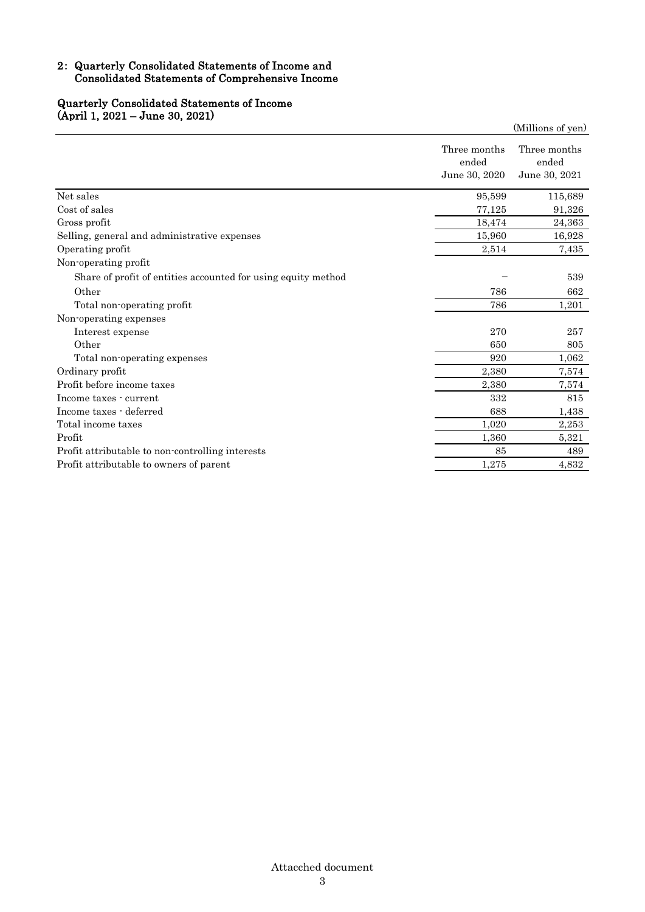# 2: Quarterly Consolidated Statements of Income and Consolidated Statements of Comprehensive Income

#### Quarterly Consolidated Statements of Income (April 1, 2021 – June 30, 2021)

|                                                               |                                        | (Millions of yen)                      |
|---------------------------------------------------------------|----------------------------------------|----------------------------------------|
|                                                               | Three months<br>ended<br>June 30, 2020 | Three months<br>ended<br>June 30, 2021 |
| Net sales                                                     | 95,599                                 | 115,689                                |
| Cost of sales                                                 | 77,125                                 | 91,326                                 |
| Gross profit                                                  | 18,474                                 | 24,363                                 |
| Selling, general and administrative expenses                  | 15,960                                 | 16,928                                 |
| Operating profit                                              | 2,514                                  | 7,435                                  |
| Non-operating profit                                          |                                        |                                        |
| Share of profit of entities accounted for using equity method |                                        | 539                                    |
| Other                                                         | 786                                    | 662                                    |
| Total non-operating profit                                    | 786                                    | 1,201                                  |
| Non-operating expenses                                        |                                        |                                        |
| Interest expense                                              | 270                                    | 257                                    |
| Other                                                         | 650                                    | 805                                    |
| Total non-operating expenses                                  | 920                                    | 1,062                                  |
| Ordinary profit                                               | 2,380                                  | 7,574                                  |
| Profit before income taxes                                    | 2,380                                  | 7,574                                  |
| Income taxes - current                                        | 332                                    | 815                                    |
| Income taxes - deferred                                       | 688                                    | 1,438                                  |
| Total income taxes                                            | 1,020                                  | 2,253                                  |
| Profit                                                        | 1,360                                  | 5,321                                  |
| Profit attributable to non-controlling interests              | 85                                     | 489                                    |
| Profit attributable to owners of parent                       | 1,275                                  | 4,832                                  |
|                                                               |                                        |                                        |